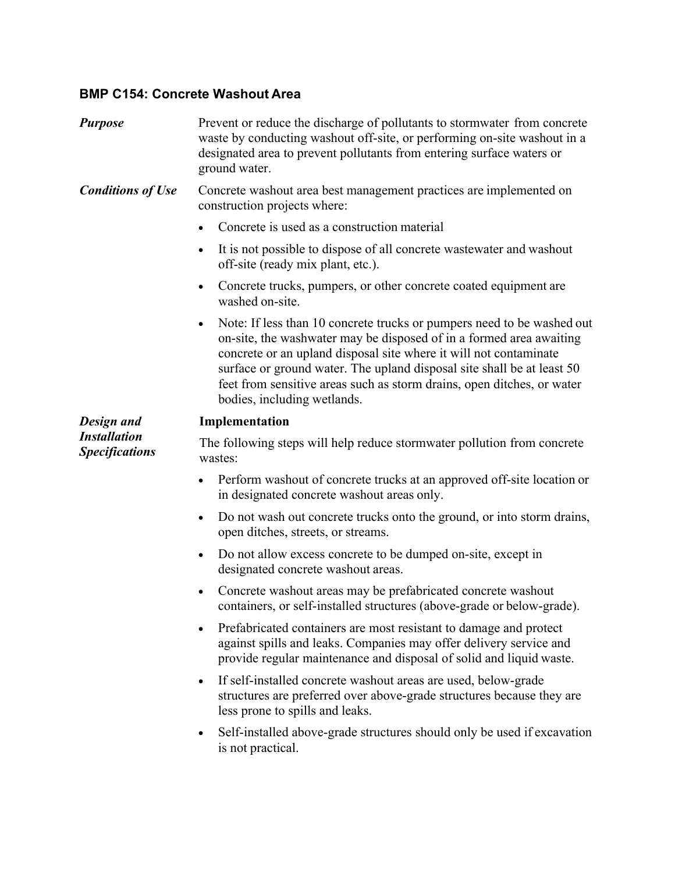# **BMP C154: Concrete Washout Area**

| <b>Purpose</b>                                             | Prevent or reduce the discharge of pollutants to stormwater from concrete<br>waste by conducting washout off-site, or performing on-site washout in a<br>designated area to prevent pollutants from entering surface waters or<br>ground water.                                                                                                                                                                    |
|------------------------------------------------------------|--------------------------------------------------------------------------------------------------------------------------------------------------------------------------------------------------------------------------------------------------------------------------------------------------------------------------------------------------------------------------------------------------------------------|
| <b>Conditions of Use</b>                                   | Concrete washout area best management practices are implemented on<br>construction projects where:                                                                                                                                                                                                                                                                                                                 |
|                                                            | Concrete is used as a construction material                                                                                                                                                                                                                                                                                                                                                                        |
|                                                            | It is not possible to dispose of all concrete was tewater and washout<br>off-site (ready mix plant, etc.).                                                                                                                                                                                                                                                                                                         |
|                                                            | Concrete trucks, pumpers, or other concrete coated equipment are<br>$\bullet$<br>washed on-site.                                                                                                                                                                                                                                                                                                                   |
|                                                            | Note: If less than 10 concrete trucks or pumpers need to be washed out<br>$\bullet$<br>on-site, the washwater may be disposed of in a formed area awaiting<br>concrete or an upland disposal site where it will not contaminate<br>surface or ground water. The upland disposal site shall be at least 50<br>feet from sensitive areas such as storm drains, open ditches, or water<br>bodies, including wetlands. |
| Design and<br><b>Installation</b><br><b>Specifications</b> | Implementation                                                                                                                                                                                                                                                                                                                                                                                                     |
|                                                            | The following steps will help reduce stormwater pollution from concrete<br>wastes:                                                                                                                                                                                                                                                                                                                                 |
|                                                            | Perform washout of concrete trucks at an approved off-site location or<br>in designated concrete washout areas only.                                                                                                                                                                                                                                                                                               |
|                                                            | Do not wash out concrete trucks onto the ground, or into storm drains,<br>$\bullet$<br>open ditches, streets, or streams.                                                                                                                                                                                                                                                                                          |
|                                                            | Do not allow excess concrete to be dumped on-site, except in<br>designated concrete washout areas.                                                                                                                                                                                                                                                                                                                 |
|                                                            | Concrete washout areas may be prefabricated concrete washout<br>containers, or self-installed structures (above-grade or below-grade).                                                                                                                                                                                                                                                                             |
|                                                            | Prefabricated containers are most resistant to damage and protect<br>against spills and leaks. Companies may offer delivery service and<br>provide regular maintenance and disposal of solid and liquid waste.                                                                                                                                                                                                     |
|                                                            | If self-installed concrete washout areas are used, below-grade<br>$\bullet$<br>structures are preferred over above-grade structures because they are<br>less prone to spills and leaks.                                                                                                                                                                                                                            |
|                                                            | Self-installed above-grade structures should only be used if excavation<br>is not practical.                                                                                                                                                                                                                                                                                                                       |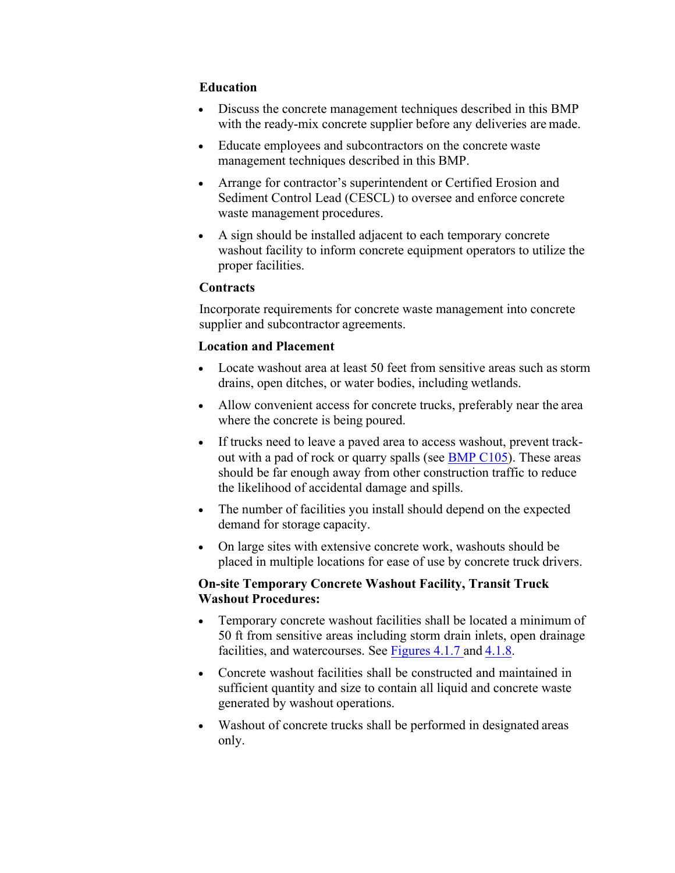# **Education**

- Discuss the concrete management techniques described in this BMP with the ready-mix concrete supplier before any deliveries are made.
- Educate employees and subcontractors on the concrete waste management techniques described in this BMP.
- Arrange for contractor's superintendent or Certified Erosion and Sediment Control Lead (CESCL) to oversee and enforce concrete waste management procedures.
- A sign should be installed adjacent to each temporary concrete washout facility to inform concrete equipment operators to utilize the proper facilities.

#### **Contracts**

Incorporate requirements for concrete waste management into concrete supplier and subcontractor agreements.

### **Location and Placement**

- Locate washout area at least 50 feet from sensitive areas such as storm drains, open ditches, or water bodies, including wetlands.
- Allow convenient access for concrete trucks, preferably near the area where the concrete is being poured.
- If trucks need to leave a paved area to access washout, prevent trackout with a pad of rock or quarry spalls (see BMP C105). These areas should be far enough away from other construction traffic to reduce the likelihood of accidental damage and spills.
- The number of facilities you install should depend on the expected demand for storage capacity.
- On large sites with extensive concrete work, washouts should be placed in multiple locations for ease of use by concrete truck drivers.

# **On-site Temporary Concrete Washout Facility, Transit Truck Washout Procedures:**

- Temporary concrete washout facilities shall be located a minimum of 50 ft from sensitive areas including storm drain inlets, open drainage facilities, and watercourses. See [Figures 4.1.7 a](#page-5-0)nd [4.1.8.](#page-5-1)
- Concrete washout facilities shall be constructed and maintained in sufficient quantity and size to contain all liquid and concrete waste generated by washout operations.
- Washout of concrete trucks shall be performed in designated areas only.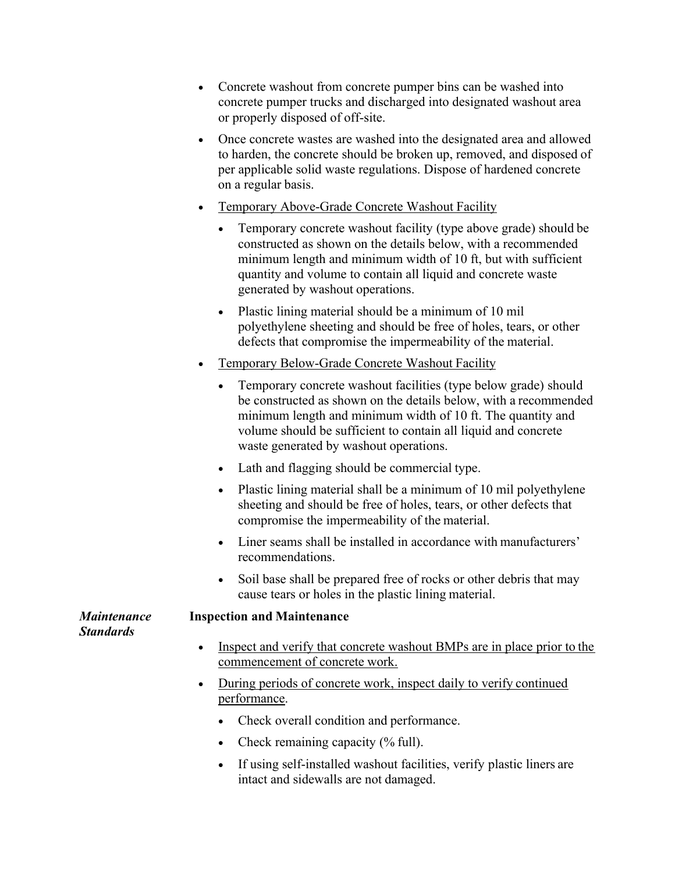- Concrete washout from concrete pumper bins can be washed into concrete pumper trucks and discharged into designated washout area or properly disposed of off-site.
- Once concrete wastes are washed into the designated area and allowed to harden, the concrete should be broken up, removed, and disposed of per applicable solid waste regulations. Dispose of hardened concrete on a regular basis.
- Temporary Above-Grade Concrete Washout Facility
	- Temporary concrete washout facility (type above grade) should be constructed as shown on the details below, with a recommended minimum length and minimum width of 10 ft, but with sufficient quantity and volume to contain all liquid and concrete waste generated by washout operations.
	- Plastic lining material should be a minimum of 10 mil polyethylene sheeting and should be free of holes, tears, or other defects that compromise the impermeability of the material.
- Temporary Below-Grade Concrete Washout Facility
	- Temporary concrete washout facilities (type below grade) should be constructed as shown on the details below, with a recommended minimum length and minimum width of 10 ft. The quantity and volume should be sufficient to contain all liquid and concrete waste generated by washout operations.
	- Lath and flagging should be commercial type.
	- Plastic lining material shall be a minimum of 10 mil polyethylene sheeting and should be free of holes, tears, or other defects that compromise the impermeability of the material.
	- Liner seams shall be installed in accordance with manufacturers' recommendations.
	- Soil base shall be prepared free of rocks or other debris that may cause tears or holes in the plastic lining material.

#### *Maintenance Standards*

- Inspect and verify that concrete washout BMPs are in place prior to the commencement of concrete work.
- During periods of concrete work, inspect daily to verify continued performance.
	- Check overall condition and performance.
	- Check remaining capacity (% full).

**Inspection and Maintenance**

 If using self-installed washout facilities, verify plastic liners are intact and sidewalls are not damaged.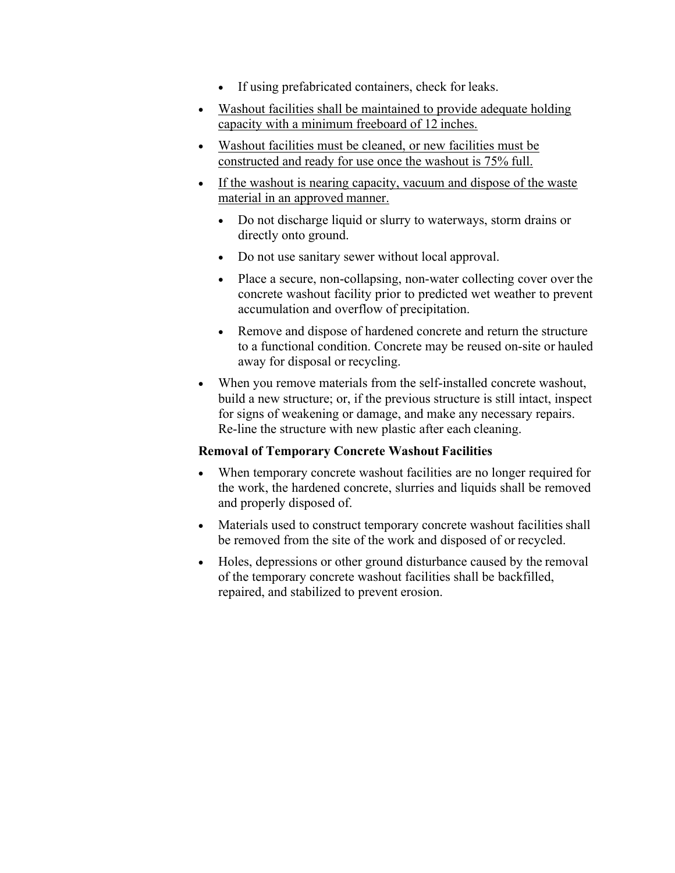- If using prefabricated containers, check for leaks.
- Washout facilities shall be maintained to provide adequate holding capacity with a minimum freeboard of 12 inches.
- Washout facilities must be cleaned, or new facilities must be constructed and ready for use once the washout is 75% full.
- If the washout is nearing capacity, vacuum and dispose of the waste material in an approved manner.
	- Do not discharge liquid or slurry to waterways, storm drains or directly onto ground.
	- Do not use sanitary sewer without local approval.
	- Place a secure, non-collapsing, non-water collecting cover over the concrete washout facility prior to predicted wet weather to prevent accumulation and overflow of precipitation.
	- Remove and dispose of hardened concrete and return the structure to a functional condition. Concrete may be reused on-site or hauled away for disposal or recycling.
- When you remove materials from the self-installed concrete washout, build a new structure; or, if the previous structure is still intact, inspect for signs of weakening or damage, and make any necessary repairs. Re-line the structure with new plastic after each cleaning.

# **Removal of Temporary Concrete Washout Facilities**

- When temporary concrete washout facilities are no longer required for the work, the hardened concrete, slurries and liquids shall be removed and properly disposed of.
- Materials used to construct temporary concrete washout facilities shall be removed from the site of the work and disposed of or recycled.
- Holes, depressions or other ground disturbance caused by the removal of the temporary concrete washout facilities shall be backfilled, repaired, and stabilized to prevent erosion.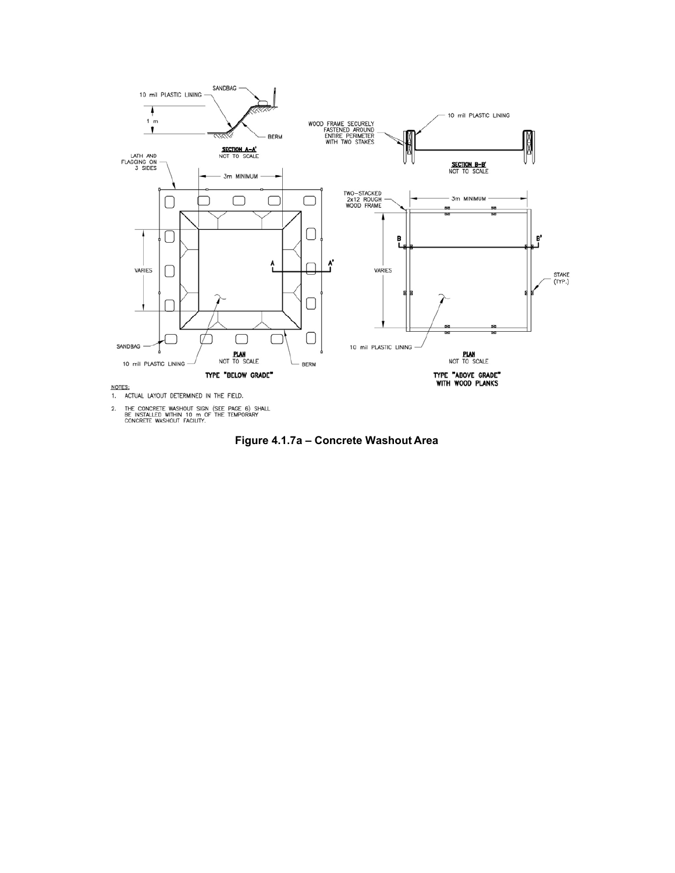

2. THE CONCRETE WASHOUT SIGN (SEE PAGE 6) SHALL<br>BE INSTALLED WITHIN 10 m OF THE TEMPORARY<br>CONCRETE WASHOUT FACILITY.

Figure 4.1.7a - Concrete Washout Area